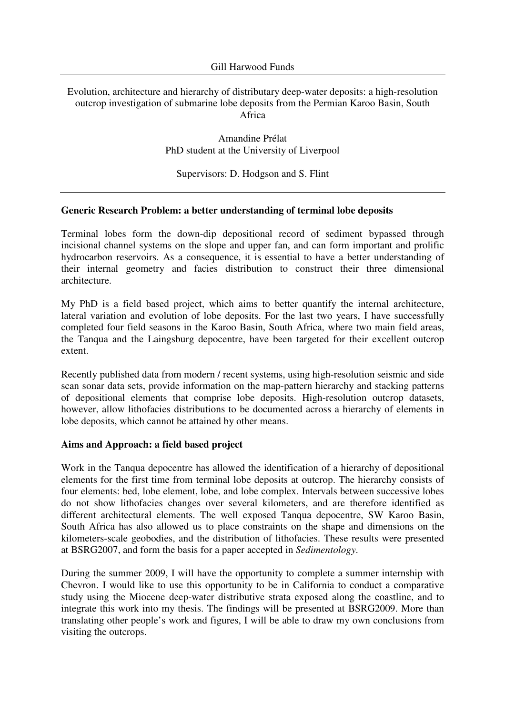## Evolution, architecture and hierarchy of distributary deep-water deposits: a high-resolution outcrop investigation of submarine lobe deposits from the Permian Karoo Basin, South Africa

Amandine Prélat PhD student at the University of Liverpool

Supervisors: D. Hodgson and S. Flint

### **Generic Research Problem: a better understanding of terminal lobe deposits**

Terminal lobes form the down-dip depositional record of sediment bypassed through incisional channel systems on the slope and upper fan, and can form important and prolific hydrocarbon reservoirs. As a consequence, it is essential to have a better understanding of their internal geometry and facies distribution to construct their three dimensional architecture.

My PhD is a field based project, which aims to better quantify the internal architecture, lateral variation and evolution of lobe deposits. For the last two years, I have successfully completed four field seasons in the Karoo Basin, South Africa, where two main field areas, the Tanqua and the Laingsburg depocentre, have been targeted for their excellent outcrop extent.

Recently published data from modern / recent systems, using high-resolution seismic and side scan sonar data sets, provide information on the map-pattern hierarchy and stacking patterns of depositional elements that comprise lobe deposits. High-resolution outcrop datasets, however, allow lithofacies distributions to be documented across a hierarchy of elements in lobe deposits, which cannot be attained by other means.

#### **Aims and Approach: a field based project**

Work in the Tanqua depocentre has allowed the identification of a hierarchy of depositional elements for the first time from terminal lobe deposits at outcrop. The hierarchy consists of four elements: bed, lobe element, lobe, and lobe complex. Intervals between successive lobes do not show lithofacies changes over several kilometers, and are therefore identified as different architectural elements. The well exposed Tanqua depocentre, SW Karoo Basin, South Africa has also allowed us to place constraints on the shape and dimensions on the kilometers-scale geobodies, and the distribution of lithofacies. These results were presented at BSRG2007, and form the basis for a paper accepted in *Sedimentology*.

During the summer 2009, I will have the opportunity to complete a summer internship with Chevron. I would like to use this opportunity to be in California to conduct a comparative study using the Miocene deep-water distributive strata exposed along the coastline, and to integrate this work into my thesis. The findings will be presented at BSRG2009. More than translating other people's work and figures, I will be able to draw my own conclusions from visiting the outcrops.